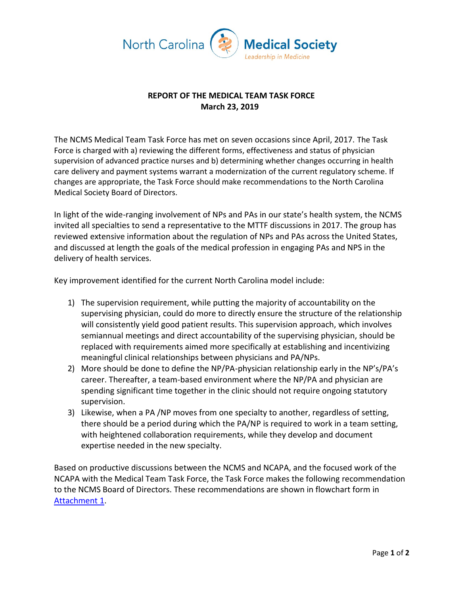

## **REPORT OF THE MEDICAL TEAM TASK FORCE March 23, 2019**

The NCMS Medical Team Task Force has met on seven occasions since April, 2017. The Task Force is charged with a) reviewing the different forms, effectiveness and status of physician supervision of advanced practice nurses and b) determining whether changes occurring in health care delivery and payment systems warrant a modernization of the current regulatory scheme. If changes are appropriate, the Task Force should make recommendations to the North Carolina Medical Society Board of Directors.

In light of the wide-ranging involvement of NPs and PAs in our state's health system, the NCMS invited all specialties to send a representative to the MTTF discussions in 2017. The group has reviewed extensive information about the regulation of NPs and PAs across the United States, and discussed at length the goals of the medical profession in engaging PAs and NPS in the delivery of health services.

Key improvement identified for the current North Carolina model include:

- 1) The supervision requirement, while putting the majority of accountability on the supervising physician, could do more to directly ensure the structure of the relationship will consistently yield good patient results. This supervision approach, which involves semiannual meetings and direct accountability of the supervising physician, should be replaced with requirements aimed more specifically at establishing and incentivizing meaningful clinical relationships between physicians and PA/NPs.
- 2) More should be done to define the NP/PA-physician relationship early in the NP's/PA's career. Thereafter, a team-based environment where the NP/PA and physician are spending significant time together in the clinic should not require ongoing statutory supervision.
- 3) Likewise, when a PA /NP moves from one specialty to another, regardless of setting, there should be a period during which the PA/NP is required to work in a team setting, with heightened collaboration requirements, while they develop and document expertise needed in the new specialty.

Based on productive discussions between the NCMS and NCAPA, and the focused work of the NCAPA with the Medical Team Task Force, the Task Force makes the following recommendation to the NCMS Board of Directors. These recommendations are shown in flowchart form in [Attachment 1.](http://www.ncmedsoc.org/wp-content/uploads/2019/03/MTTF-flow-chart-v-4-swk-edits.pdf)